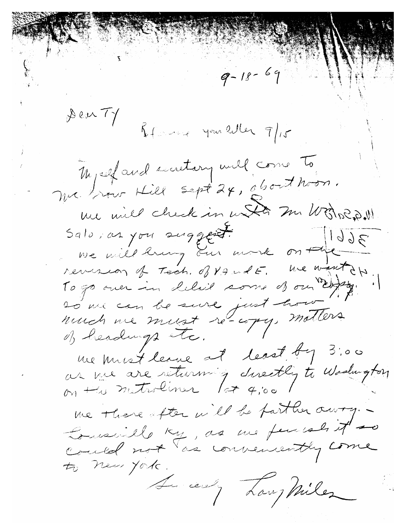$9 - 18 - 69$ Dear TY Remark you eller 9/15 Myself and secretary will come To m'est una sept 24, about hom. me mil check in und m Worked. Salo, as you suggest.  $3661$ we will larg our work on the revenion of Tech. of VandE. We want of 20 rue can le suite just hour nuch me must re-copy, motters me must leave at least by 3:00<br>as me are returning directly to Woolington me there after will be parther owny. be really, as we fears it to A cent Law Miles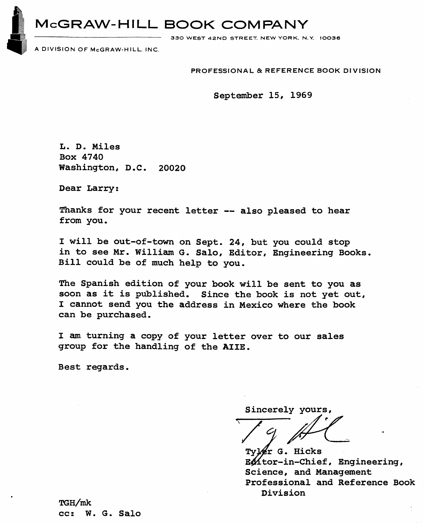**b** McGRAW-HILL BOOK COMPANY

**330 WEST 42ND STREET. NEW YORK. N.V. 10036** 

**A DIVISION OF McGRAW-HILL. INC.** 

**PROFESSIONAL** & **REFERENCE BOOK DIVISION** 

September 15, 1969

L. D. Miles Box **4740**  Washington, D **.C** . **<sup>20020</sup>**

Dear Larry:

Thanks for your recent letter -- also pleased to hear from you.

I will be out-of-town on Sept. 24, but you could stop in to see Mr. William G. Salo, Editor, Engineering Books. Bill could be of much help to you.

The Spanish edition of your book will be sent to you **as**  soon as it is published. Since the book is not yet out, I cannot send you the address in Mexico where the book can be purchased.

I **am** turning a copy of your letter over to our sales group for the handling of the AIIE.

Best regards.

Sincerely yours,

Tyler G. Hicks Entor-in-Chief, Engineering, Science, and Management Professional and Reference Book Division

**n;~/mk**  cc: W. G. Salo